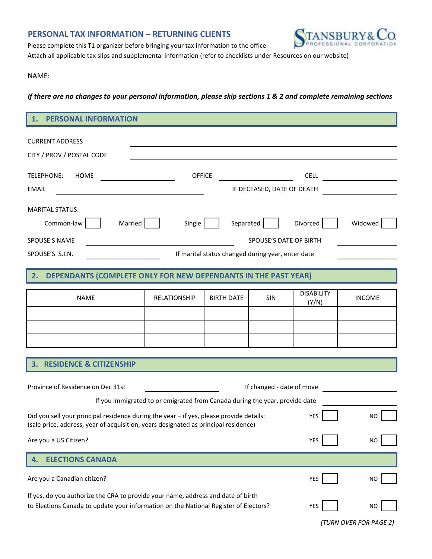## **PERSONAL TAX INFORMATION – RETURNING CLIENTS**



Please complete this T1 organizer before bringing your tax information to the office.

Attach all applicable tax slips and supplemental information (refer to checklists under Resources on our website)

## NAME:

*If there are no changes to your personal information, please skip sections 1 & 2 and complete remaining sections*

## **1. PERSONAL INFORMATION**

| <b>CURRENT ADDRESS</b>                                                                                                                                                                             |                            |                   |     |                            |                                                  |  |  |
|----------------------------------------------------------------------------------------------------------------------------------------------------------------------------------------------------|----------------------------|-------------------|-----|----------------------------|--------------------------------------------------|--|--|
| CITY / PROV / POSTAL CODE                                                                                                                                                                          |                            |                   |     |                            |                                                  |  |  |
| TELEPHONE:<br><b>HOME</b>                                                                                                                                                                          | <b>OFFICE</b>              |                   |     | <b>CELL</b>                | <u> 1989 - Jan Store, amerikansk politiker (</u> |  |  |
| <b>EMAIL</b>                                                                                                                                                                                       | IF DECEASED, DATE OF DEATH |                   |     |                            |                                                  |  |  |
| <b>MARITAL STATUS:</b>                                                                                                                                                                             |                            |                   |     |                            |                                                  |  |  |
| Married<br>Common-law                                                                                                                                                                              | Single                     | Separated         |     | Divorced                   | Widowed                                          |  |  |
| SPOUSE'S NAME<br>SPOUSE'S DATE OF BIRTH                                                                                                                                                            |                            |                   |     |                            |                                                  |  |  |
| SPOUSE'S S.I.N.<br>If marital status changed during year, enter date                                                                                                                               |                            |                   |     |                            |                                                  |  |  |
| DEPENDANTS (COMPLETE ONLY FOR NEW DEPENDANTS IN THE PAST YEAR)<br>2.                                                                                                                               |                            |                   |     |                            |                                                  |  |  |
|                                                                                                                                                                                                    |                            |                   |     |                            |                                                  |  |  |
| <b>NAME</b>                                                                                                                                                                                        | RELATIONSHIP               | <b>BIRTH DATE</b> | SIN | <b>DISABILITY</b><br>(Y/N) | <b>INCOME</b>                                    |  |  |
|                                                                                                                                                                                                    |                            |                   |     |                            |                                                  |  |  |
|                                                                                                                                                                                                    |                            |                   |     |                            |                                                  |  |  |
|                                                                                                                                                                                                    |                            |                   |     |                            |                                                  |  |  |
| <b>RESIDENCE &amp; CITIZENSHIP</b>                                                                                                                                                                 |                            |                   |     |                            |                                                  |  |  |
|                                                                                                                                                                                                    |                            |                   |     |                            |                                                  |  |  |
| Province of Residence on Dec 31st<br>If changed - date of move                                                                                                                                     |                            |                   |     |                            |                                                  |  |  |
| If you immigrated to or emigrated from Canada during the year, provide date                                                                                                                        |                            |                   |     |                            |                                                  |  |  |
| Did you sell your principal residence during the year - if yes, please provide details:<br><b>YES</b><br>NO<br>(sale price, address, year of acquisition, years designated as principal residence) |                            |                   |     |                            |                                                  |  |  |
| Are you a US Citizen?                                                                                                                                                                              |                            |                   |     | YES                        | <b>NO</b>                                        |  |  |
| <b>ELECTIONS CANADA</b><br>4.                                                                                                                                                                      |                            |                   |     |                            |                                                  |  |  |
| Are you a Canadian citizen?                                                                                                                                                                        |                            |                   |     | YES                        | <b>NO</b>                                        |  |  |
| If yes, do you authorize the CRA to provide your name, address and date of birth<br>to Elections Canada to update your information on the National Register of Electors?                           | YES                        | NO                |     |                            |                                                  |  |  |

*(TURN OVER FOR PAGE 2)*